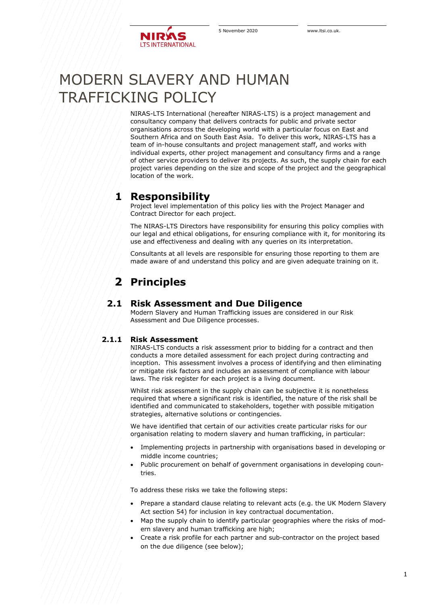

# MODERN SLAVERY AND HUMAN TRAFFICKING POLICY

NIRAS-LTS International (hereafter NIRAS-LTS) is a project management and consultancy company that delivers contracts for public and private sector organisations across the developing world with a particular focus on East and Southern Africa and on South East Asia. To deliver this work, NIRAS-LTS has a team of in-house consultants and project management staff, and works with individual experts, other project management and consultancy firms and a range of other service providers to deliver its projects. As such, the supply chain for each project varies depending on the size and scope of the project and the geographical location of the work.

### **1 Responsibility**

Project level implementation of this policy lies with the Project Manager and Contract Director for each project.

The NIRAS-LTS Directors have responsibility for ensuring this policy complies with our legal and ethical obligations, for ensuring compliance with it, for monitoring its use and effectiveness and dealing with any queries on its interpretation.

Consultants at all levels are responsible for ensuring those reporting to them are made aware of and understand this policy and are given adequate training on it.

# **2 Principles**

#### **2.1 Risk Assessment and Due Diligence**

Modern Slavery and Human Trafficking issues are considered in our Risk Assessment and Due Diligence processes.

#### **2.1.1 Risk Assessment**

NIRAS-LTS conducts a risk assessment prior to bidding for a contract and then conducts a more detailed assessment for each project during contracting and inception. This assessment involves a process of identifying and then eliminating or mitigate risk factors and includes an assessment of compliance with labour laws. The risk register for each project is a living document.

Whilst risk assessment in the supply chain can be subjective it is nonetheless required that where a significant risk is identified, the nature of the risk shall be identified and communicated to stakeholders, together with possible mitigation strategies, alternative solutions or contingencies.

We have identified that certain of our activities create particular risks for our organisation relating to modern slavery and human trafficking, in particular:

- Implementing projects in partnership with organisations based in developing or middle income countries;
- Public procurement on behalf of government organisations in developing countries.

To address these risks we take the following steps:

- Prepare a standard clause relating to relevant acts (e.g. the UK Modern Slavery Act section 54) for inclusion in key contractual documentation.
- Map the supply chain to identify particular geographies where the risks of modern slavery and human trafficking are high;
- Create a risk profile for each partner and sub-contractor on the project based on the due diligence (see below);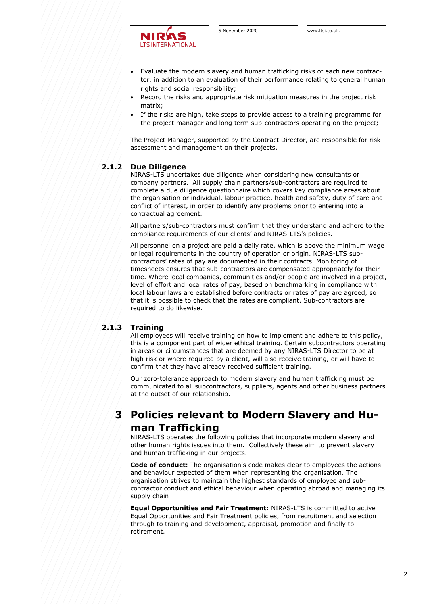

- Evaluate the modern slavery and human trafficking risks of each new contractor, in addition to an evaluation of their performance relating to general human rights and social responsibility;
- Record the risks and appropriate risk mitigation measures in the project risk matrix;
- If the risks are high, take steps to provide access to a training programme for the project manager and long term sub-contractors operating on the project;

The Project Manager, supported by the Contract Director, are responsible for risk assessment and management on their projects.

#### **2.1.2 Due Diligence**

NIRAS-LTS undertakes due diligence when considering new consultants or company partners. All supply chain partners/sub-contractors are required to complete a due diligence questionnaire which covers key compliance areas about the organisation or individual, labour practice, health and safety, duty of care and conflict of interest, in order to identify any problems prior to entering into a contractual agreement.

All partners/sub-contractors must confirm that they understand and adhere to the compliance requirements of our clients' and NIRAS-LTS's policies.

All personnel on a project are paid a daily rate, which is above the minimum wage or legal requirements in the country of operation or origin. NIRAS-LTS subcontractors' rates of pay are documented in their contracts. Monitoring of timesheets ensures that sub-contractors are compensated appropriately for their time. Where local companies, communities and/or people are involved in a project, level of effort and local rates of pay, based on benchmarking in compliance with local labour laws are established before contracts or rates of pay are agreed, so that it is possible to check that the rates are compliant. Sub-contractors are required to do likewise.

#### **2.1.3 Training**

All employees will receive training on how to implement and adhere to this policy, this is a component part of wider ethical training. Certain subcontractors operating in areas or circumstances that are deemed by any NIRAS-LTS Director to be at high risk or where required by a client, will also receive training, or will have to confirm that they have already received sufficient training.

Our zero-tolerance approach to modern slavery and human trafficking must be communicated to all subcontractors, suppliers, agents and other business partners at the outset of our relationship.

### **3 Policies relevant to Modern Slavery and Human Trafficking**

NIRAS-LTS operates the following policies that incorporate modern slavery and other human rights issues into them. Collectively these aim to prevent slavery and human trafficking in our projects.

**Code of conduct:** The organisation's code makes clear to employees the actions and behaviour expected of them when representing the organisation. The organisation strives to maintain the highest standards of employee and subcontractor conduct and ethical behaviour when operating abroad and managing its supply chain

**Equal Opportunities and Fair Treatment:** NIRAS-LTS is committed to active Equal Opportunities and Fair Treatment policies, from recruitment and selection through to training and development, appraisal, promotion and finally to retirement.